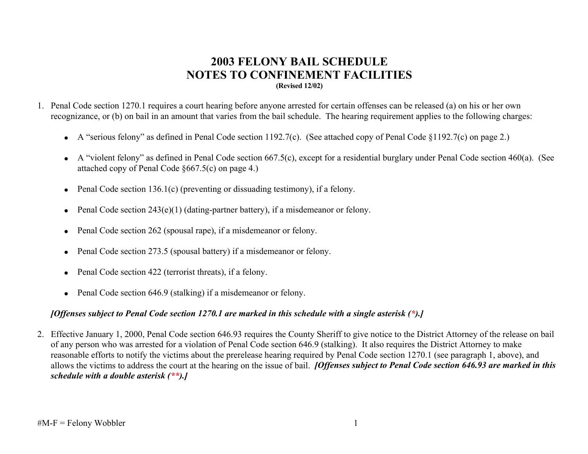## **2003 FELONY BAIL SCHEDULE NOTES TO CONFINEMENT FACILITIES (Revised 12/02)**

- 1. Penal Code section 1270.1 requires a court hearing before anyone arrested for certain offenses can be released (a) on his or her own recognizance, or (b) on bail in an amount that varies from the bail schedule. The hearing requirement applies to the following charges:
	- A "serious felony" as defined in Penal Code section 1192.7(c). (See attached copy of Penal Code §1192.7(c) on page 2.)
	- A "violent felony" as defined in Penal Code section 667.5(c), except for a residential burglary under Penal Code section 460(a). (See attached copy of Penal Code §667.5(c) on page 4.)
	- Penal Code section 136.1(c) (preventing or dissuading testimony), if a felony.
	- Penal Code section  $243(e)(1)$  (dating-partner battery), if a misdemeanor or felony.
	- Penal Code section 262 (spousal rape), if a misdemeanor or felony.
	- Penal Code section 273.5 (spousal battery) if a misdemeanor or felony.
	- Penal Code section 422 (terrorist threats), if a felony.
	- Penal Code section 646.9 (stalking) if a misdemeanor or felony.

### *[Offenses subject to Penal Code section 1270.1 are marked in this schedule with a single asterisk (\*).]*

2. Effective January 1, 2000, Penal Code section 646.93 requires the County Sheriff to give notice to the District Attorney of the release on bail of any person who was arrested for a violation of Penal Code section 646.9 (stalking). It also requires the District Attorney to make reasonable efforts to notify the victims about the prerelease hearing required by Penal Code section 1270.1 (see paragraph 1, above), and allows the victims to address the court at the hearing on the issue of bail. *[Offenses subject to Penal Code section 646.93 are marked in this schedule with a double asterisk (\*\*).]*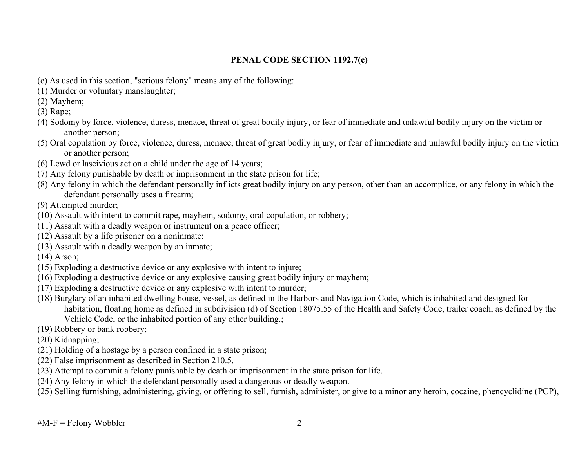#### **PENAL CODE SECTION 1192.7(c)**

- (c) As used in this section, "serious felony" means any of the following:
- (1) Murder or voluntary manslaughter;
- (2) Mayhem;
- (3) Rape;
- (4) Sodomy by force, violence, duress, menace, threat of great bodily injury, or fear of immediate and unlawful bodily injury on the victim or another person;
- (5) Oral copulation by force, violence, duress, menace, threat of great bodily injury, or fear of immediate and unlawful bodily injury on the victim or another person;
- (6) Lewd or lascivious act on a child under the age of 14 years;
- (7) Any felony punishable by death or imprisonment in the state prison for life;
- (8) Any felony in which the defendant personally inflicts great bodily injury on any person, other than an accomplice, or any felony in which the defendant personally uses a firearm;
- (9) Attempted murder;
- (10) Assault with intent to commit rape, mayhem, sodomy, oral copulation, or robbery;
- (11) Assault with a deadly weapon or instrument on a peace officer;
- (12) Assault by a life prisoner on a noninmate;
- (13) Assault with a deadly weapon by an inmate;
- (14) Arson;
- (15) Exploding a destructive device or any explosive with intent to injure;
- (16) Exploding a destructive device or any explosive causing great bodily injury or mayhem;
- (17) Exploding a destructive device or any explosive with intent to murder;
- (18) Burglary of an inhabited dwelling house, vessel, as defined in the Harbors and Navigation Code, which is inhabited and designed for habitation, floating home as defined in subdivision (d) of Section 18075.55 of the Health and Safety Code, trailer coach, as defined by the Vehicle Code, or the inhabited portion of any other building.;
- (19) Robbery or bank robbery;
- (20) Kidnapping;
- (21) Holding of a hostage by a person confined in a state prison;
- (22) False imprisonment as described in Section 210.5.
- (23) Attempt to commit a felony punishable by death or imprisonment in the state prison for life.
- (24) Any felony in which the defendant personally used a dangerous or deadly weapon.
- (25) Selling furnishing, administering, giving, or offering to sell, furnish, administer, or give to a minor any heroin, cocaine, phencyclidine (PCP),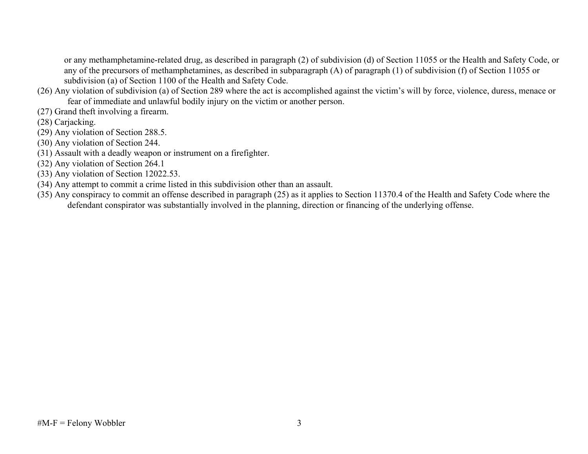or any methamphetamine-related drug, as described in paragraph (2) of subdivision (d) of Section 11055 or the Health and Safety Code, or any of the precursors of methamphetamines, as described in subparagraph (A) of paragraph (1) of subdivision (f) of Section 11055 or subdivision (a) of Section 1100 of the Health and Safety Code.

- (26) Any violation of subdivision (a) of Section 289 where the act is accomplished against the victim's will by force, violence, duress, menace or fear of immediate and unlawful bodily injury on the victim or another person.
- (27) Grand theft involving a firearm.
- (28) Carjacking.
- (29) Any violation of Section 288.5.
- (30) Any violation of Section 244.
- (31) Assault with a deadly weapon or instrument on a firefighter.
- (32) Any violation of Section 264.1
- (33) Any violation of Section 12022.53.
- (34) Any attempt to commit a crime listed in this subdivision other than an assault.
- (35) Any conspiracy to commit an offense described in paragraph (25) as it applies to Section 11370.4 of the Health and Safety Code where the defendant conspirator was substantially involved in the planning, direction or financing of the underlying offense.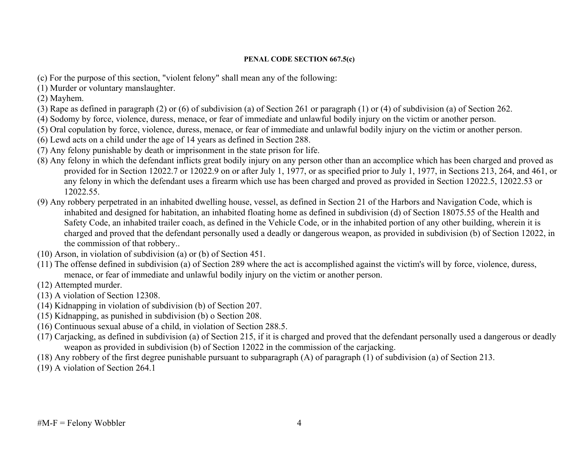#### **PENAL CODE SECTION 667.5(c)**

- (c) For the purpose of this section, "violent felony" shall mean any of the following:
- (1) Murder or voluntary manslaughter.
- (2) Mayhem.
- (3) Rape as defined in paragraph (2) or (6) of subdivision (a) of Section 261 or paragraph (1) or (4) of subdivision (a) of Section 262.
- (4) Sodomy by force, violence, duress, menace, or fear of immediate and unlawful bodily injury on the victim or another person.
- (5) Oral copulation by force, violence, duress, menace, or fear of immediate and unlawful bodily injury on the victim or another person.
- (6) Lewd acts on a child under the age of 14 years as defined in Section 288.
- (7) Any felony punishable by death or imprisonment in the state prison for life.
- (8) Any felony in which the defendant inflicts great bodily injury on any person other than an accomplice which has been charged and proved as provided for in Section 12022.7 or 12022.9 on or after July 1, 1977, or as specified prior to July 1, 1977, in Sections 213, 264, and 461, or any felony in which the defendant uses a firearm which use has been charged and proved as provided in Section 12022.5, 12022.53 or 12022.55.
- (9) Any robbery perpetrated in an inhabited dwelling house, vessel, as defined in Section 21 of the Harbors and Navigation Code, which is inhabited and designed for habitation, an inhabited floating home as defined in subdivision (d) of Section 18075.55 of the Health and Safety Code, an inhabited trailer coach, as defined in the Vehicle Code, or in the inhabited portion of any other building, wherein it is charged and proved that the defendant personally used a deadly or dangerous weapon, as provided in subdivision (b) of Section 12022, in the commission of that robbery..
- (10) Arson, in violation of subdivision (a) or (b) of Section 451.
- (11) The offense defined in subdivision (a) of Section 289 where the act is accomplished against the victim's will by force, violence, duress, menace, or fear of immediate and unlawful bodily injury on the victim or another person.
- (12) Attempted murder.
- (13) A violation of Section 12308.
- (14) Kidnapping in violation of subdivision (b) of Section 207.
- (15) Kidnapping, as punished in subdivision (b) o Section 208.
- (16) Continuous sexual abuse of a child, in violation of Section 288.5.
- (17) Carjacking, as defined in subdivision (a) of Section 215, if it is charged and proved that the defendant personally used a dangerous or deadly weapon as provided in subdivision (b) of Section 12022 in the commission of the carjacking.
- (18) Any robbery of the first degree punishable pursuant to subparagraph (A) of paragraph (1) of subdivision (a) of Section 213.
- (19) A violation of Section 264.1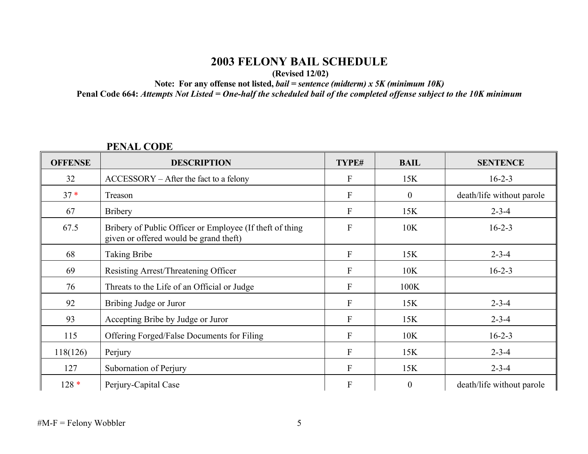# **2003 FELONY BAIL SCHEDULE**

 **(Revised 12/02)** 

**Note: For any offense not listed,** *bail = sentence (midterm) x 5K (minimum 10K)* 

**Penal Code 664:** *Attempts Not Listed = One-half the scheduled bail of the completed offense subject to the 10K minimum*

### **OFFENSE** DESCRIPTION **TYPE# BAIL SENTENCE**  $32$  ACCESSORY – After the fact to a felony F 15K 16-2-3 37 \*Treason F 0 death/life without parole 67 Bribery 15K 2-3-4 67.5 Bribery of Public Officer or Employee (If theft of thing given or offered would be grand theft) F 10K 16-2-3 68 | Taking Bribe **F** 15K | 2-3-4 69 Resisting Arrest/Threatening Officer F 10K 16-2-3 76 Threats to the Life of an Official or Judge F 100K 92 Bribing Judge or Juror F 15K 2-3-4 93 Accepting Bribe by Judge or Juror F 15K 2-3-4 115 Offering Forged/False Documents for Filing F F 10K 16-2-3 118(126) Perjury 2-3-4 127 Subornation of Perjury F 15K 2-3-4 128 \*Perjury-Capital Case F 0 death/life without parole

# **PENAL CODE**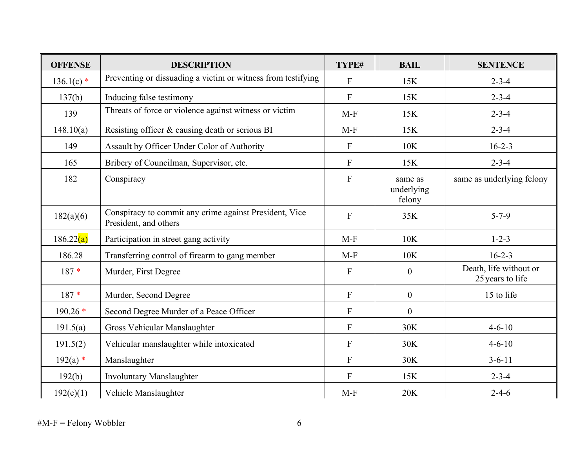| <b>OFFENSE</b> | <b>DESCRIPTION</b>                                                              | TYPE#                     | <b>BAIL</b>                     | <b>SENTENCE</b>                            |
|----------------|---------------------------------------------------------------------------------|---------------------------|---------------------------------|--------------------------------------------|
| $136.1(c)$ *   | Preventing or dissuading a victim or witness from testifying                    | $\overline{F}$            | 15K                             | $2 - 3 - 4$                                |
| 137(b)         | Inducing false testimony                                                        | $\mathbf{F}$              | 15K                             | $2 - 3 - 4$                                |
| 139            | Threats of force or violence against witness or victim                          | $M-F$                     | 15K                             | $2 - 3 - 4$                                |
| 148.10(a)      | Resisting officer & causing death or serious BI                                 | $M-F$                     | 15K                             | $2 - 3 - 4$                                |
| 149            | Assault by Officer Under Color of Authority                                     | $\boldsymbol{\mathrm{F}}$ | 10K                             | $16 - 2 - 3$                               |
| 165            | Bribery of Councilman, Supervisor, etc.                                         | F                         | 15K                             | $2 - 3 - 4$                                |
| 182            | Conspiracy                                                                      | ${\bf F}$                 | same as<br>underlying<br>felony | same as underlying felony                  |
| 182(a)(6)      | Conspiracy to commit any crime against President, Vice<br>President, and others | $\overline{F}$            | 35K                             | $5 - 7 - 9$                                |
| 186.22(a)      | Participation in street gang activity                                           | $M-F$                     | 10K                             | $1 - 2 - 3$                                |
| 186.28         | Transferring control of firearm to gang member                                  | $M-F$                     | 10K                             | $16 - 2 - 3$                               |
| $187*$         | Murder, First Degree                                                            | $\mathbf{F}$              | $\boldsymbol{0}$                | Death, life without or<br>25 years to life |
| $187*$         | Murder, Second Degree                                                           | ${\bf F}$                 | $\boldsymbol{0}$                | 15 to life                                 |
| $190.26*$      | Second Degree Murder of a Peace Officer                                         | $\overline{F}$            | $\boldsymbol{0}$                |                                            |
| 191.5(a)       | Gross Vehicular Manslaughter                                                    | $\mathbf{F}$              | 30K                             | $4 - 6 - 10$                               |
| 191.5(2)       | Vehicular manslaughter while intoxicated                                        | $\mathbf{F}$              | 30K                             | $4 - 6 - 10$                               |
| $192(a)$ *     | Manslaughter                                                                    | $\mathbf{F}$              | 30K                             | $3 - 6 - 11$                               |
| 192(b)         | <b>Involuntary Manslaughter</b>                                                 | $\mathbf{F}$              | 15K                             | $2 - 3 - 4$                                |
| 192(c)(1)      | Vehicle Manslaughter                                                            | $M-F$                     | 20K                             | $2 - 4 - 6$                                |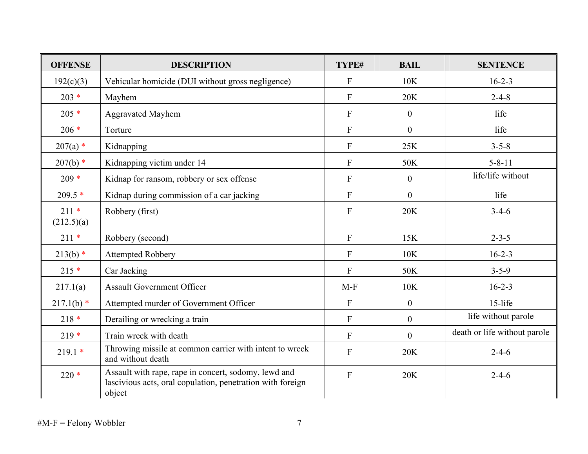| <b>OFFENSE</b>       | <b>DESCRIPTION</b>                                                                                                           | TYPE#                     | <b>BAIL</b>      | <b>SENTENCE</b>              |
|----------------------|------------------------------------------------------------------------------------------------------------------------------|---------------------------|------------------|------------------------------|
| 192(c)(3)            | Vehicular homicide (DUI without gross negligence)                                                                            | $\mathbf{F}$              | 10K              | $16 - 2 - 3$                 |
| $203 *$              | Mayhem                                                                                                                       | $\mathbf{F}$              | 20K              | $2 - 4 - 8$                  |
| $205*$               | <b>Aggravated Mayhem</b>                                                                                                     | $\mathbf F$               | $\boldsymbol{0}$ | life                         |
| $206 *$              | Torture                                                                                                                      | $\mathbf{F}$              | $\boldsymbol{0}$ | life                         |
| $207(a)$ *           | Kidnapping                                                                                                                   | $\boldsymbol{\mathrm{F}}$ | 25K              | $3 - 5 - 8$                  |
| $207(b)$ *           | Kidnapping victim under 14                                                                                                   | $\mathbf{F}$              | 50K              | $5 - 8 - 11$                 |
| $209 *$              | Kidnap for ransom, robbery or sex offense                                                                                    | ${\bf F}$                 | $\boldsymbol{0}$ | life/life without            |
| $209.5*$             | Kidnap during commission of a car jacking                                                                                    | $\mathbf{F}$              | $\theta$         | life                         |
| $211*$<br>(212.5)(a) | Robbery (first)                                                                                                              | $\mathbf{F}$              | 20K              | $3-4-6$                      |
| $211*$               | Robbery (second)                                                                                                             | $\mathbf{F}$              | 15K              | $2 - 3 - 5$                  |
| $213(b)$ *           | <b>Attempted Robbery</b>                                                                                                     | $\mathbf{F}$              | 10K              | $16 - 2 - 3$                 |
| $215*$               | Car Jacking                                                                                                                  | $\mathbf{F}$              | 50K              | $3 - 5 - 9$                  |
| 217.1(a)             | <b>Assault Government Officer</b>                                                                                            | $M-F$                     | 10K              | $16 - 2 - 3$                 |
| $217.1(b)$ *         | Attempted murder of Government Officer                                                                                       | $\overline{F}$            | $\boldsymbol{0}$ | 15-life                      |
| $218*$               | Derailing or wrecking a train                                                                                                | ${\bf F}$                 | $\mathbf{0}$     | life without parole          |
| $219*$               | Train wreck with death                                                                                                       | $\mathbf{F}$              | $\theta$         | death or life without parole |
| $219.1*$             | Throwing missile at common carrier with intent to wreck<br>and without death                                                 | $\mathbf{F}$              | 20K              | $2 - 4 - 6$                  |
| $220*$               | Assault with rape, rape in concert, sodomy, lewd and<br>lascivious acts, oral copulation, penetration with foreign<br>object | $\overline{F}$            | 20K              | $2 - 4 - 6$                  |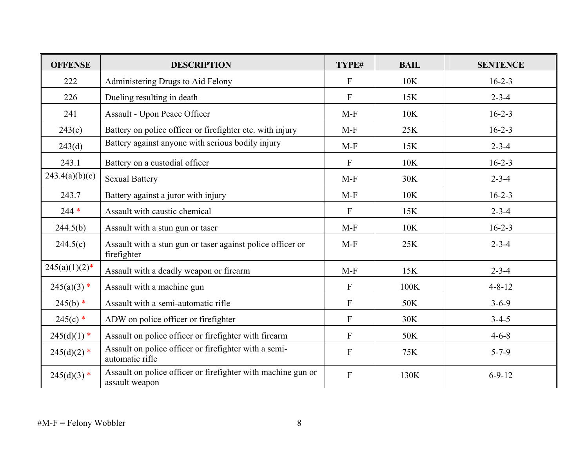| <b>OFFENSE</b>   | <b>DESCRIPTION</b>                                                             | TYPE#          | <b>BAIL</b> | <b>SENTENCE</b> |
|------------------|--------------------------------------------------------------------------------|----------------|-------------|-----------------|
| 222              | Administering Drugs to Aid Felony                                              | $\mathbf{F}$   | 10K         | $16 - 2 - 3$    |
| 226              | Dueling resulting in death                                                     | F              | 15K         | $2 - 3 - 4$     |
| 241              | Assault - Upon Peace Officer                                                   | $M-F$          | 10K         | $16 - 2 - 3$    |
| 243(c)           | Battery on police officer or firefighter etc. with injury                      | $M-F$          | 25K         | $16 - 2 - 3$    |
| 243(d)           | Battery against anyone with serious bodily injury                              | $M-F$          | 15K         | $2 - 3 - 4$     |
| 243.1            | Battery on a custodial officer                                                 | $\mathbf{F}$   | 10K         | $16 - 2 - 3$    |
| 243.4(a)(b)(c)   | <b>Sexual Battery</b>                                                          | $M-F$          | 30K         | $2 - 3 - 4$     |
| 243.7            | Battery against a juror with injury                                            | $M-F$          | 10K         | $16 - 2 - 3$    |
| $244 *$          | Assault with caustic chemical                                                  | $\mathbf{F}$   | 15K         | $2 - 3 - 4$     |
| 244.5(b)         | Assault with a stun gun or taser                                               | $M-F$          | 10K         | $16 - 2 - 3$    |
| 244.5(c)         | Assault with a stun gun or taser against police officer or<br>firefighter      | $M-F$          | 25K         | $2 - 3 - 4$     |
| $245(a)(1)(2)^*$ | Assault with a deadly weapon or firearm                                        | $M-F$          | 15K         | $2 - 3 - 4$     |
| $245(a)(3)$ *    | Assault with a machine gun                                                     | $\overline{F}$ | 100K        | $4 - 8 - 12$    |
| $245(b)$ *       | Assault with a semi-automatic rifle                                            | $\mathbf{F}$   | 50K         | $3 - 6 - 9$     |
| $245(c)$ *       | ADW on police officer or firefighter                                           | $\overline{F}$ | 30K         | $3 - 4 - 5$     |
| $245(d)(1)$ *    | Assault on police officer or firefighter with firearm                          | $\overline{F}$ | 50K         | $4 - 6 - 8$     |
| $245(d)(2)$ *    | Assault on police officer or firefighter with a semi-<br>automatic rifle       | $\mathbf{F}$   | 75K         | $5 - 7 - 9$     |
| $245(d)(3)$ *    | Assault on police officer or firefighter with machine gun or<br>assault weapon | $\overline{F}$ | 130K        | $6 - 9 - 12$    |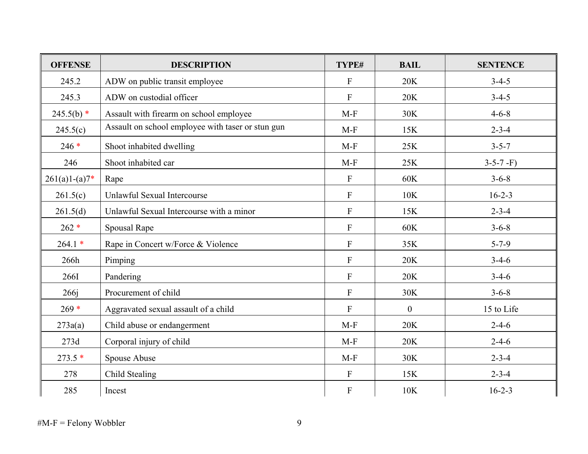| <b>OFFENSE</b>  | <b>DESCRIPTION</b>                                | TYPE#            | <b>BAIL</b>    | <b>SENTENCE</b> |
|-----------------|---------------------------------------------------|------------------|----------------|-----------------|
| 245.2           | ADW on public transit employee                    | $\overline{F}$   | 20K            | $3 - 4 - 5$     |
| 245.3           | ADW on custodial officer                          | $\overline{F}$   | 20K            | $3-4-5$         |
| $245.5(b)$ *    | Assault with firearm on school employee           | $M-F$            | 30K            | $4 - 6 - 8$     |
| 245.5(c)        | Assault on school employee with taser or stun gun | $M-F$            | 15K            | $2 - 3 - 4$     |
| $246*$          | Shoot inhabited dwelling                          | $M-F$            | 25K            | $3 - 5 - 7$     |
| 246             | Shoot inhabited car                               | $M-F$            | 25K            | $3-5-7$ -F)     |
| $261(a)1-(a)7*$ | Rape                                              | $\mathbf{F}$     | 60K            | $3 - 6 - 8$     |
| 261.5(c)        | Unlawful Sexual Intercourse                       | $\overline{F}$   | 10K            | $16 - 2 - 3$    |
| 261.5(d)        | Unlawful Sexual Intercourse with a minor          | $\mathbf{F}$     | 15K            | $2 - 3 - 4$     |
| $262 *$         | Spousal Rape                                      | $\mathbf{F}$     | 60K            | $3 - 6 - 8$     |
| $264.1*$        | Rape in Concert w/Force & Violence                | $\mathbf{F}$     | 35K            | $5 - 7 - 9$     |
| 266h            | Pimping                                           | $\overline{F}$   | 20K            | $3-4-6$         |
| 2661            | Pandering                                         | $\overline{F}$   | 20K            | $3-4-6$         |
| 266j            | Procurement of child                              | $\overline{F}$   | 30K            | $3 - 6 - 8$     |
| $269 *$         | Aggravated sexual assault of a child              | $\overline{F}$   | $\overline{0}$ | 15 to Life      |
| 273a(a)         | Child abuse or endangerment                       | $M-F$            | 20K            | $2 - 4 - 6$     |
| 273d            | Corporal injury of child                          | $M-F$            | 20K            | $2 - 4 - 6$     |
| $273.5*$        | Spouse Abuse                                      | $M-F$            | 30K            | $2 - 3 - 4$     |
| 278             | Child Stealing                                    | $\boldsymbol{F}$ | 15K            | $2 - 3 - 4$     |
| 285             | Incest                                            | $\boldsymbol{F}$ | 10K            | $16 - 2 - 3$    |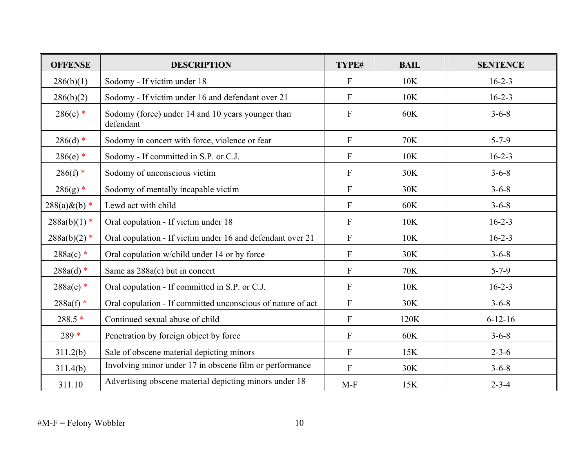| <b>OFFENSE</b>   | <b>DESCRIPTION</b>                                             | TYPE#                     | <b>BAIL</b> | <b>SENTENCE</b> |
|------------------|----------------------------------------------------------------|---------------------------|-------------|-----------------|
| 286(b)(1)        | Sodomy - If victim under 18                                    | F                         | 10K         | $16 - 2 - 3$    |
| 286(b)(2)        | Sodomy - If victim under 16 and defendant over 21              | $\mathbf{F}$              | 10K         | $16 - 2 - 3$    |
| $286(c)$ *       | Sodomy (force) under 14 and 10 years younger than<br>defendant | $\mathbf{F}$              | 60K         | $3 - 6 - 8$     |
| $286(d)$ *       | Sodomy in concert with force, violence or fear                 | $\mathbf{F}$              | 70K         | $5 - 7 - 9$     |
| $286(e)$ *       | Sodomy - If committed in S.P. or C.J.                          | $\mathbf{F}$              | 10K         | $16 - 2 - 3$    |
| $286(f)$ *       | Sodomy of unconscious victim                                   | $\boldsymbol{\mathrm{F}}$ | 30K         | $3 - 6 - 8$     |
| $286(g)$ *       | Sodomy of mentally incapable victim                            | $\mathbf{F}$              | 30K         | $3 - 6 - 8$     |
| $288(a) & (b) *$ | Lewd act with child                                            | $\mathbf{F}$              | 60K         | $3 - 6 - 8$     |
| $288a(b)(1)$ *   | Oral copulation - If victim under 18                           | $\boldsymbol{\mathrm{F}}$ | 10K         | $16 - 2 - 3$    |
| $288a(b)(2)$ *   | Oral copulation - If victim under 16 and defendant over 21     | $\mathbf{F}$              | 10K         | $16 - 2 - 3$    |
| $288a(c)$ *      | Oral copulation w/child under 14 or by force                   | $\mathbf{F}$              | 30K         | $3 - 6 - 8$     |
| $288a(d)$ *      | Same as $288a(c)$ but in concert                               | $\mathbf{F}$              | 70K         | $5 - 7 - 9$     |
| $288a(e)$ *      | Oral copulation - If committed in S.P. or C.J.                 | $\mathbf{F}$              | 10K         | $16 - 2 - 3$    |
| $288a(f)$ *      | Oral copulation - If committed unconscious of nature of act    | $\boldsymbol{\mathrm{F}}$ | 30K         | $3 - 6 - 8$     |
| $288.5*$         | Continued sexual abuse of child                                | ${\bf F}$                 | 120K        | $6 - 12 - 16$   |
| $289*$           | Penetration by foreign object by force                         | $\mathbf{F}$              | 60K         | $3 - 6 - 8$     |
| 311.2(b)         | Sale of obscene material depicting minors                      | ${\bf F}$                 | 15K         | $2 - 3 - 6$     |
| 311.4(b)         | Involving minor under 17 in obscene film or performance        | $\mathbf{F}$              | 30K         | $3 - 6 - 8$     |
| 311.10           | Advertising obscene material depicting minors under 18         | $M-F$                     | 15K         | $2 - 3 - 4$     |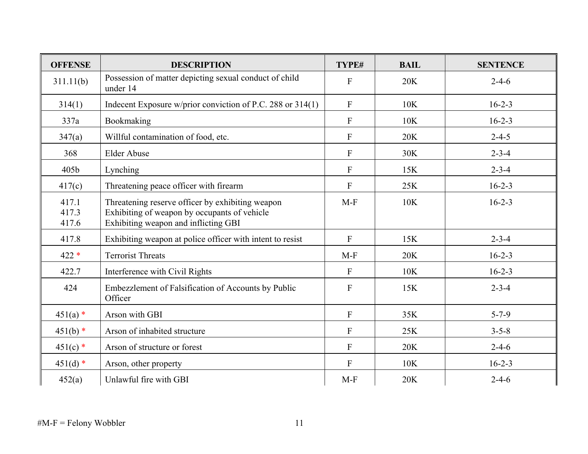| <b>OFFENSE</b>          | <b>DESCRIPTION</b>                                                                                                                       | TYPE#                     | <b>BAIL</b> | <b>SENTENCE</b> |
|-------------------------|------------------------------------------------------------------------------------------------------------------------------------------|---------------------------|-------------|-----------------|
| 311.11(b)               | Possession of matter depicting sexual conduct of child<br>under 14                                                                       | $\overline{F}$            | 20K         | $2 - 4 - 6$     |
| 314(1)                  | Indecent Exposure w/prior conviction of P.C. 288 or $314(1)$                                                                             | $\mathbf{F}$              | 10K         | $16 - 2 - 3$    |
| 337a                    | Bookmaking                                                                                                                               | $\mathbf{F}$              | 10K         | $16 - 2 - 3$    |
| 347(a)                  | Willful contamination of food, etc.                                                                                                      | $\mathbf{F}$              | 20K         | $2 - 4 - 5$     |
| 368                     | <b>Elder Abuse</b>                                                                                                                       | ${\bf F}$                 | 30K         | $2 - 3 - 4$     |
| 405b                    | Lynching                                                                                                                                 | $\boldsymbol{\mathrm{F}}$ | 15K         | $2 - 3 - 4$     |
| 417(c)                  | Threatening peace officer with firearm                                                                                                   | $\mathbf{F}$              | 25K         | $16 - 2 - 3$    |
| 417.1<br>417.3<br>417.6 | Threatening reserve officer by exhibiting weapon<br>Exhibiting of weapon by occupants of vehicle<br>Exhibiting weapon and inflicting GBI | $M-F$                     | 10K         | $16 - 2 - 3$    |
| 417.8                   | Exhibiting weapon at police officer with intent to resist                                                                                | $\overline{F}$            | 15K         | $2 - 3 - 4$     |
| $422 *$                 | <b>Terrorist Threats</b>                                                                                                                 | $M-F$                     | 20K         | $16 - 2 - 3$    |
| 422.7                   | Interference with Civil Rights                                                                                                           | $\mathbf{F}$              | 10K         | $16 - 2 - 3$    |
| 424                     | Embezzlement of Falsification of Accounts by Public<br>Officer                                                                           | $\overline{F}$            | 15K         | $2 - 3 - 4$     |
| $451(a)$ *              | Arson with GBI                                                                                                                           | $\overline{F}$            | 35K         | $5 - 7 - 9$     |
| $451(b)$ *              | Arson of inhabited structure                                                                                                             | $\mathbf{F}$              | 25K         | $3 - 5 - 8$     |
| $451(c)$ *              | Arson of structure or forest                                                                                                             | $\mathbf{F}$              | 20K         | $2 - 4 - 6$     |
| $451(d)$ *              | Arson, other property                                                                                                                    | $\mathbf{F}$              | 10K         | $16 - 2 - 3$    |
| 452(a)                  | Unlawful fire with GBI                                                                                                                   | $M-F$                     | 20K         | $2 - 4 - 6$     |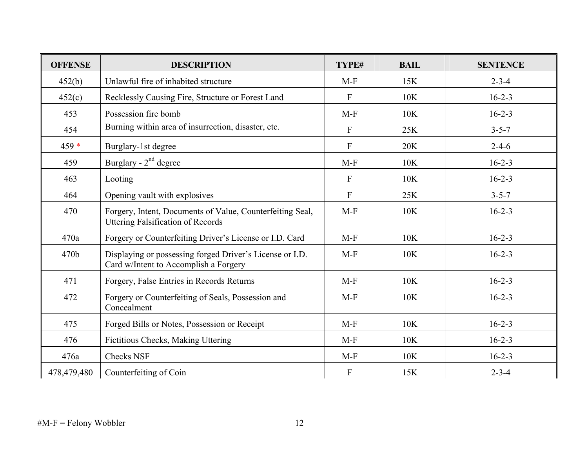| <b>OFFENSE</b> | <b>DESCRIPTION</b>                                                                                    | TYPE#            | <b>BAIL</b> | <b>SENTENCE</b> |
|----------------|-------------------------------------------------------------------------------------------------------|------------------|-------------|-----------------|
| 452(b)         | Unlawful fire of inhabited structure                                                                  | $M-F$            | 15K         | $2 - 3 - 4$     |
| 452(c)         | Recklessly Causing Fire, Structure or Forest Land                                                     | $\mathbf{F}$     | 10K         | $16 - 2 - 3$    |
| 453            | Possession fire bomb                                                                                  | $M-F$            | 10K         | $16 - 2 - 3$    |
| 454            | Burning within area of insurrection, disaster, etc.                                                   | $\mathbf{F}$     | 25K         | $3 - 5 - 7$     |
| $459*$         | Burglary-1st degree                                                                                   | $\mathbf{F}$     | 20K         | $2 - 4 - 6$     |
| 459            | Burglary - $2nd$ degree                                                                               | $M-F$            | 10K         | $16 - 2 - 3$    |
| 463            | Looting                                                                                               | $\mathbf{F}$     | 10K         | $16 - 2 - 3$    |
| 464            | Opening vault with explosives                                                                         | $\mathbf{F}$     | 25K         | $3 - 5 - 7$     |
| 470            | Forgery, Intent, Documents of Value, Counterfeiting Seal,<br><b>Uttering Falsification of Records</b> | $M-F$            | 10K         | $16 - 2 - 3$    |
| 470a           | Forgery or Counterfeiting Driver's License or I.D. Card                                               | $M-F$            | 10K         | $16 - 2 - 3$    |
| 470b           | Displaying or possessing forged Driver's License or I.D.<br>Card w/Intent to Accomplish a Forgery     | $M-F$            | 10K         | $16 - 2 - 3$    |
| 471            | Forgery, False Entries in Records Returns                                                             | $M-F$            | 10K         | $16 - 2 - 3$    |
| 472            | Forgery or Counterfeiting of Seals, Possession and<br>Concealment                                     | $M-F$            | 10K         | $16 - 2 - 3$    |
| 475            | Forged Bills or Notes, Possession or Receipt                                                          | $M-F$            | 10K         | $16 - 2 - 3$    |
| 476            | Fictitious Checks, Making Uttering                                                                    | $M-F$            | 10K         | $16 - 2 - 3$    |
| 476a           | <b>Checks NSF</b>                                                                                     | $M-F$            | 10K         | $16 - 2 - 3$    |
| 478,479,480    | Counterfeiting of Coin                                                                                | $\boldsymbol{F}$ | 15K         | $2 - 3 - 4$     |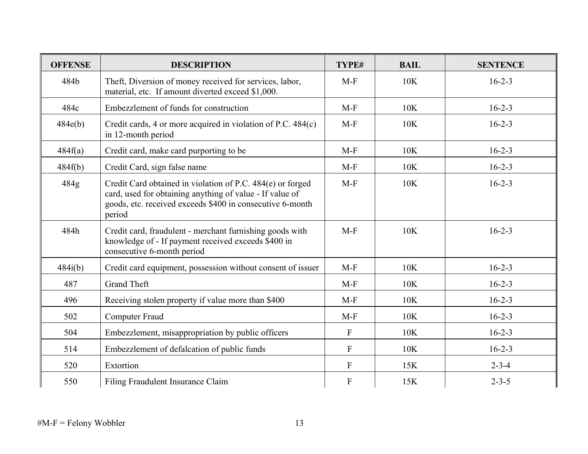| <b>OFFENSE</b> | <b>DESCRIPTION</b>                                                                                                                                                                            | TYPE#                     | <b>BAIL</b> | <b>SENTENCE</b> |
|----------------|-----------------------------------------------------------------------------------------------------------------------------------------------------------------------------------------------|---------------------------|-------------|-----------------|
| 484b           | Theft, Diversion of money received for services, labor,<br>material, etc. If amount diverted exceed \$1,000.                                                                                  | $M-F$                     | 10K         | $16 - 2 - 3$    |
| 484c           | Embezzlement of funds for construction                                                                                                                                                        | $M-F$                     | 10K         | $16 - 2 - 3$    |
| 484e(b)        | Credit cards, 4 or more acquired in violation of P.C. 484(c)<br>in 12-month period                                                                                                            | $M-F$                     | 10K         | $16 - 2 - 3$    |
| 484f(a)        | Credit card, make card purporting to be                                                                                                                                                       | $M-F$                     | 10K         | $16 - 2 - 3$    |
| 484f(b)        | Credit Card, sign false name                                                                                                                                                                  | $M-F$                     | 10K         | $16 - 2 - 3$    |
| 484g           | Credit Card obtained in violation of P.C. 484(e) or forged<br>card, used for obtaining anything of value - If value of<br>goods, etc. received exceeds \$400 in consecutive 6-month<br>period | $M-F$                     | 10K         | $16 - 2 - 3$    |
| 484h           | Credit card, fraudulent - merchant furnishing goods with<br>knowledge of - If payment received exceeds \$400 in<br>consecutive 6-month period                                                 | $M-F$                     | 10K         | $16 - 2 - 3$    |
| 484i(b)        | Credit card equipment, possession without consent of issuer                                                                                                                                   | $M-F$                     | 10K         | $16 - 2 - 3$    |
| 487            | <b>Grand Theft</b>                                                                                                                                                                            | $M-F$                     | 10K         | $16 - 2 - 3$    |
| 496            | Receiving stolen property if value more than \$400                                                                                                                                            | $M-F$                     | 10K         | $16 - 2 - 3$    |
| 502            | <b>Computer Fraud</b>                                                                                                                                                                         | $M-F$                     | 10K         | $16 - 2 - 3$    |
| 504            | Embezzlement, misappropriation by public officers                                                                                                                                             | $\mathbf{F}$              | 10K         | $16 - 2 - 3$    |
| 514            | Embezzlement of defalcation of public funds                                                                                                                                                   | $\mathbf{F}$              | 10K         | $16 - 2 - 3$    |
| 520            | Extortion                                                                                                                                                                                     | $\mathbf{F}$              | 15K         | $2 - 3 - 4$     |
| 550            | Filing Fraudulent Insurance Claim                                                                                                                                                             | $\boldsymbol{\mathrm{F}}$ | 15K         | $2 - 3 - 5$     |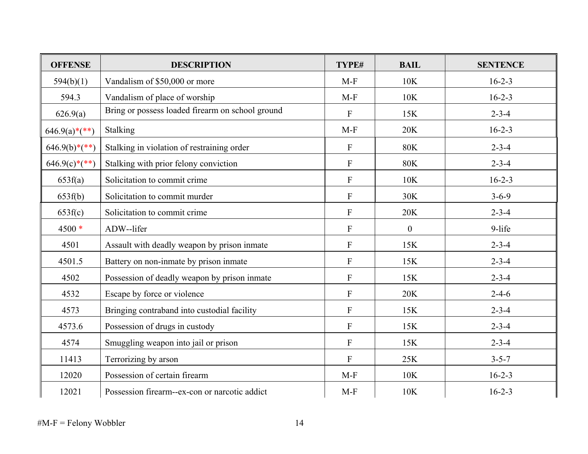| <b>OFFENSE</b>  | <b>DESCRIPTION</b>                               | TYPE#          | <b>BAIL</b>      | <b>SENTENCE</b> |
|-----------------|--------------------------------------------------|----------------|------------------|-----------------|
| 594(b)(1)       | Vandalism of \$50,000 or more                    | $M-F$          | 10K              | $16 - 2 - 3$    |
| 594.3           | Vandalism of place of worship                    | $M-F$          | 10K              | $16 - 2 - 3$    |
| 626.9(a)        | Bring or possess loaded firearm on school ground | $\mathbf{F}$   | 15K              | $2 - 3 - 4$     |
| $646.9(a)*(**)$ | Stalking                                         | $M-F$          | 20K              | $16 - 2 - 3$    |
| $646.9(b)*(**)$ | Stalking in violation of restraining order       | $\mathbf{F}$   | <b>80K</b>       | $2 - 3 - 4$     |
| $646.9(c)*(**)$ | Stalking with prior felony conviction            | $\mathbf{F}$   | <b>80K</b>       | $2 - 3 - 4$     |
| 653f(a)         | Solicitation to commit crime                     | $\mathbf{F}$   | 10K              | $16 - 2 - 3$    |
| 653f(b)         | Solicitation to commit murder                    | $\mathbf{F}$   | 30K              | $3 - 6 - 9$     |
| 653f(c)         | Solicitation to commit crime                     | $\mathbf{F}$   | 20K              | $2 - 3 - 4$     |
| 4500 *          | ADW--lifer                                       | $\overline{F}$ | $\boldsymbol{0}$ | 9-life          |
| 4501            | Assault with deadly weapon by prison inmate      | $\overline{F}$ | 15K              | $2 - 3 - 4$     |
| 4501.5          | Battery on non-inmate by prison inmate           | $\overline{F}$ | 15K              | $2 - 3 - 4$     |
| 4502            | Possession of deadly weapon by prison inmate     | $\overline{F}$ | 15K              | $2 - 3 - 4$     |
| 4532            | Escape by force or violence                      | $\overline{F}$ | 20K              | $2 - 4 - 6$     |
| 4573            | Bringing contraband into custodial facility      | $\mathbf{F}$   | 15K              | $2 - 3 - 4$     |
| 4573.6          | Possession of drugs in custody                   | ${\bf F}$      | 15K              | $2 - 3 - 4$     |
| 4574            | Smuggling weapon into jail or prison             | $\mathbf{F}$   | 15K              | $2 - 3 - 4$     |
| 11413           | Terrorizing by arson                             | $\mathbf{F}$   | 25K              | $3 - 5 - 7$     |
| 12020           | Possession of certain firearm                    | $M-F$          | 10K              | $16 - 2 - 3$    |
| 12021           | Possession firearm--ex-con or narcotic addict    | $M-F$          | 10K              | $16 - 2 - 3$    |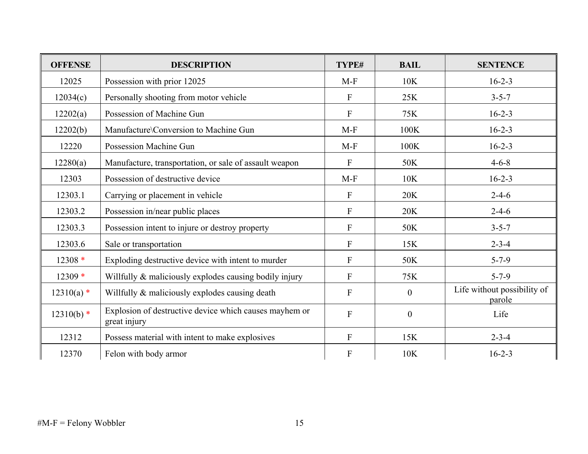| <b>OFFENSE</b> | <b>DESCRIPTION</b>                                                     | TYPE#                     | <b>BAIL</b> | <b>SENTENCE</b>                       |
|----------------|------------------------------------------------------------------------|---------------------------|-------------|---------------------------------------|
| 12025          | Possession with prior 12025                                            | $M-F$                     | 10K         | $16 - 2 - 3$                          |
| 12034(c)       | Personally shooting from motor vehicle                                 | $\mathbf{F}$              | 25K         | $3 - 5 - 7$                           |
| 12202(a)       | Possession of Machine Gun                                              | $\mathbf{F}$              | 75K         | $16 - 2 - 3$                          |
| 12202(b)       | Manufacture\Conversion to Machine Gun                                  | $M-F$                     | 100K        | $16 - 2 - 3$                          |
| 12220          | Possession Machine Gun                                                 | $M-F$                     | 100K        | $16 - 2 - 3$                          |
| 12280(a)       | Manufacture, transportation, or sale of assault weapon                 | $\mathbf{F}$              | 50K         | $4 - 6 - 8$                           |
| 12303          | Possession of destructive device                                       | $M-F$                     | 10K         | $16 - 2 - 3$                          |
| 12303.1        | Carrying or placement in vehicle                                       | $\mathbf{F}$              | 20K         | $2 - 4 - 6$                           |
| 12303.2        | Possession in/near public places                                       | $\mathbf{F}$              | 20K         | $2 - 4 - 6$                           |
| 12303.3        | Possession intent to injure or destroy property                        | $\mathbf{F}$              | 50K         | $3 - 5 - 7$                           |
| 12303.6        | Sale or transportation                                                 | $\mathbf{F}$              | 15K         | $2 - 3 - 4$                           |
| $12308*$       | Exploding destructive device with intent to murder                     | $\mathbf{F}$              | 50K         | $5 - 7 - 9$                           |
| $12309*$       | Willfully & maliciously explodes causing bodily injury                 | $\mathbf{F}$              | 75K         | $5 - 7 - 9$                           |
| $12310(a)$ *   | Willfully & maliciously explodes causing death                         | $\mathbf{F}$              | $\theta$    | Life without possibility of<br>parole |
| $12310(b)$ *   | Explosion of destructive device which causes mayhem or<br>great injury | $\mathbf{F}$              | $\theta$    | Life                                  |
| 12312          | Possess material with intent to make explosives                        | $\boldsymbol{\mathrm{F}}$ | 15K         | $2 - 3 - 4$                           |
| 12370          | Felon with body armor                                                  | $\boldsymbol{\mathrm{F}}$ | 10K         | $16 - 2 - 3$                          |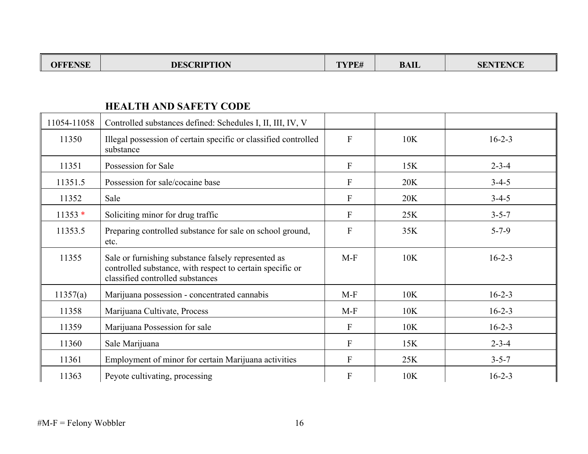| TENCE<br>DIDTIAN<br>лг<br>JESC<br>.<br>лтэг<br>ww<br>юв | <b>FEBR</b><br>/DF#<br>L I L# | <b>BAIL</b> | <b>ITREALOR</b><br>5 I |
|---------------------------------------------------------|-------------------------------|-------------|------------------------|
|---------------------------------------------------------|-------------------------------|-------------|------------------------|

#### **HEALTH AND SAFETY CODE**

| 11054-11058 | Controlled substances defined: Schedules I, II, III, IV, V                                                                                           |                |     |              |
|-------------|------------------------------------------------------------------------------------------------------------------------------------------------------|----------------|-----|--------------|
| 11350       | Illegal possession of certain specific or classified controlled<br>substance                                                                         | $\mathbf{F}$   | 10K | $16 - 2 - 3$ |
| 11351       | Possession for Sale                                                                                                                                  | $\mathbf{F}$   | 15K | $2 - 3 - 4$  |
| 11351.5     | Possession for sale/cocaine base                                                                                                                     | $\mathbf{F}$   | 20K | $3-4-5$      |
| 11352       | Sale                                                                                                                                                 | $\mathbf{F}$   | 20K | $3 - 4 - 5$  |
| $11353*$    | Soliciting minor for drug traffic                                                                                                                    | $\mathbf{F}$   | 25K | $3 - 5 - 7$  |
| 11353.5     | Preparing controlled substance for sale on school ground,<br>etc.                                                                                    | $\overline{F}$ | 35K | $5 - 7 - 9$  |
| 11355       | Sale or furnishing substance falsely represented as<br>controlled substance, with respect to certain specific or<br>classified controlled substances | $M-F$          | 10K | $16 - 2 - 3$ |
| 11357(a)    | Marijuana possession - concentrated cannabis                                                                                                         | $M-F$          | 10K | $16 - 2 - 3$ |
| 11358       | Marijuana Cultivate, Process                                                                                                                         | $M-F$          | 10K | $16 - 2 - 3$ |
| 11359       | Marijuana Possession for sale                                                                                                                        | $\mathbf{F}$   | 10K | $16 - 2 - 3$ |
| 11360       | Sale Marijuana                                                                                                                                       | $\mathbf{F}$   | 15K | $2 - 3 - 4$  |
| 11361       | Employment of minor for certain Marijuana activities                                                                                                 | $\mathbf{F}$   | 25K | $3 - 5 - 7$  |
| 11363       | Peyote cultivating, processing                                                                                                                       | $\mathbf{F}$   | 10K | $16 - 2 - 3$ |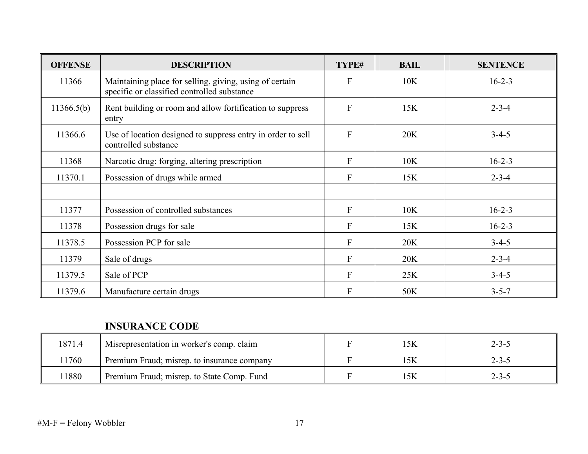| <b>OFFENSE</b> | <b>DESCRIPTION</b>                                                                                     | TYPE#          | <b>BAIL</b> | <b>SENTENCE</b> |
|----------------|--------------------------------------------------------------------------------------------------------|----------------|-------------|-----------------|
| 11366          | Maintaining place for selling, giving, using of certain<br>specific or classified controlled substance | $\mathbf{F}$   | 10K         | $16 - 2 - 3$    |
| 11366.5(b)     | Rent building or room and allow fortification to suppress<br>entry                                     | $\overline{F}$ | 15K         | $2 - 3 - 4$     |
| 11366.6        | Use of location designed to suppress entry in order to sell<br>controlled substance                    | $\mathbf{F}$   | 20K         | $3 - 4 - 5$     |
| 11368          | Narcotic drug: forging, altering prescription                                                          | $\mathbf{F}$   | 10K         | $16 - 2 - 3$    |
| 11370.1        | Possession of drugs while armed                                                                        | $\mathbf{F}$   | 15K         | $2 - 3 - 4$     |
|                |                                                                                                        |                |             |                 |
| 11377          | Possession of controlled substances                                                                    | $\mathbf{F}$   | 10K         | $16 - 2 - 3$    |
| 11378          | Possession drugs for sale                                                                              | $\mathbf{F}$   | 15K         | $16 - 2 - 3$    |
| 11378.5        | Possession PCP for sale                                                                                | $\mathbf{F}$   | 20K         | $3 - 4 - 5$     |
| 11379          | Sale of drugs                                                                                          | $\mathbf{F}$   | 20K         | $2 - 3 - 4$     |
| 11379.5        | Sale of PCP                                                                                            | $\mathbf{F}$   | 25K         | $3-4-5$         |
| 11379.6        | Manufacture certain drugs                                                                              | $\mathbf{F}$   | 50K         | $3 - 5 - 7$     |

#### **INSURANCE CODE**

| 1871.4 | Misrepresentation in worker's comp. claim   |  | $2 - 3 - 5$ |
|--------|---------------------------------------------|--|-------------|
| ! 1760 | Premium Fraud; misrep. to insurance company |  | $2 - 3 - 5$ |
| 1880   | Premium Fraud; misrep. to State Comp. Fund  |  | $2 - 3 - 5$ |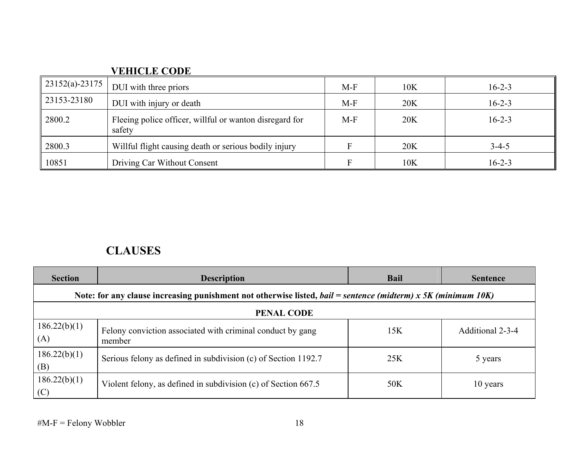| <b>VEHICLE CODE</b> |  |
|---------------------|--|
|                     |  |

| $23152(a) - 23175$ | DUI with three priors                                             | $M-F$ | 10K | $16 - 2 - 3$ |
|--------------------|-------------------------------------------------------------------|-------|-----|--------------|
| 23153-23180        | DUI with injury or death                                          | $M-F$ | 20K | $16 - 2 - 3$ |
| 2800.2             | Fleeing police officer, willful or wanton disregard for<br>safety | $M-F$ | 20K | $16 - 2 - 3$ |
| 2800.3             | Willful flight causing death or serious bodily injury             |       | 20K | $3 - 4 - 5$  |
| 10851              | Driving Car Without Consent                                       |       | 10K | $16 - 2 - 3$ |

# **CLAUSES**

| <b>Section</b>      | <b>Description</b>                                                                                            | <b>Bail</b> | <b>Sentence</b>  |
|---------------------|---------------------------------------------------------------------------------------------------------------|-------------|------------------|
|                     | Note: for any clause increasing punishment not otherwise listed, bail = sentence (midterm) x 5K (minimum 10K) |             |                  |
|                     | <b>PENAL CODE</b>                                                                                             |             |                  |
| 186.22(b)(1)<br>(A) | Felony conviction associated with criminal conduct by gang<br>member                                          | 15K         | Additional 2-3-4 |
| 186.22(b)(1)<br>(B) | Serious felony as defined in subdivision (c) of Section 1192.7                                                | 25K         | 5 years          |
| 186.22(b)(1)<br>(C) | Violent felony, as defined in subdivision $(c)$ of Section 667.5                                              | 50K         | 10 years         |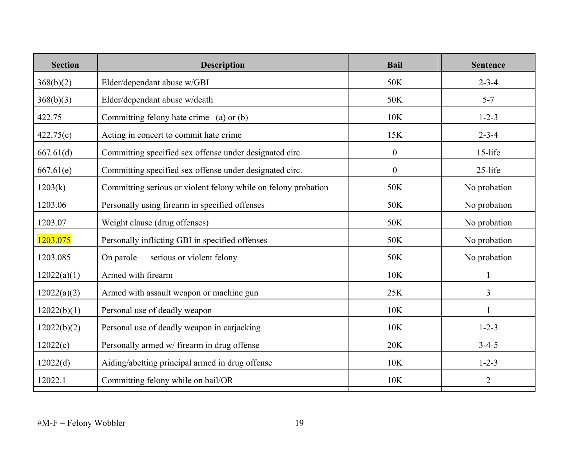| <b>Section</b> | <b>Description</b>                                             | <b>Bail</b>    | <b>Sentence</b> |
|----------------|----------------------------------------------------------------|----------------|-----------------|
| 368(b)(2)      | Elder/dependant abuse w/GBI                                    | 50K            | $2 - 3 - 4$     |
| 368(b)(3)      | Elder/dependant abuse w/death                                  | 50K            | $5 - 7$         |
| 422.75         | Committing felony hate crime (a) or (b)                        | 10K            | $1 - 2 - 3$     |
| 422.75(c)      | Acting in concert to commit hate crime                         | 15K            | $2 - 3 - 4$     |
| 667.61(d)      | Committing specified sex offense under designated circ.        | $\mathbf{0}$   | 15-life         |
| 667.61(e)      | Committing specified sex offense under designated circ.        | $\overline{0}$ | 25-life         |
| 1203(k)        | Committing serious or violent felony while on felony probation | 50K            | No probation    |
| 1203.06        | Personally using firearm in specified offenses                 | 50K            | No probation    |
| 1203.07        | Weight clause (drug offenses)                                  | 50K            | No probation    |
| 1203.075       | Personally inflicting GBI in specified offenses                | 50K            | No probation    |
| 1203.085       | On parole — serious or violent felony                          | 50K            | No probation    |
| 12022(a)(1)    | Armed with firearm                                             | 10K            |                 |
| 12022(a)(2)    | Armed with assault weapon or machine gun                       | 25K            | 3               |
| 12022(b)(1)    | Personal use of deadly weapon                                  | 10K            | $\mathbf{1}$    |
| 12022(b)(2)    | Personal use of deadly weapon in carjacking                    | 10K            | $1 - 2 - 3$     |
| 12022(c)       | Personally armed w/ firearm in drug offense                    | 20K            | $3 - 4 - 5$     |
| 12022(d)       | Aiding/abetting principal armed in drug offense                | 10K            | $1 - 2 - 3$     |
| 12022.1        | Committing felony while on bail/OR                             | 10K            | $\overline{2}$  |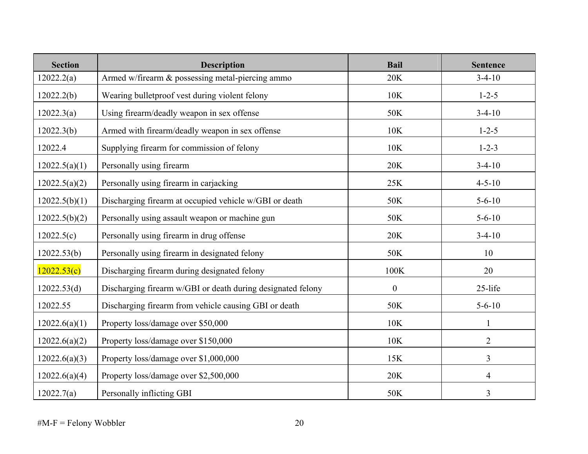| <b>Section</b> | <b>Description</b>                                          | <b>Bail</b>      | <b>Sentence</b> |
|----------------|-------------------------------------------------------------|------------------|-----------------|
| 12022.2(a)     | Armed w/firearm & possessing metal-piercing ammo            | 20K              | $3-4-10$        |
| 12022.2(b)     | Wearing bulletproof vest during violent felony              | 10K              | $1 - 2 - 5$     |
| 12022.3(a)     | Using firearm/deadly weapon in sex offense                  | 50K              | $3-4-10$        |
| 12022.3(b)     | Armed with firearm/deadly weapon in sex offense             | 10K              | $1 - 2 - 5$     |
| 12022.4        | Supplying firearm for commission of felony                  | 10K              | $1 - 2 - 3$     |
| 12022.5(a)(1)  | Personally using firearm                                    | 20K              | $3-4-10$        |
| 12022.5(a)(2)  | Personally using firearm in carjacking                      | 25K              | $4 - 5 - 10$    |
| 12022.5(b)(1)  | Discharging firearm at occupied vehicle w/GBI or death      | 50K              | $5 - 6 - 10$    |
| 12022.5(b)(2)  | Personally using assault weapon or machine gun              | 50K              | $5 - 6 - 10$    |
| 12022.5(c)     | Personally using firearm in drug offense                    | <b>20K</b>       | $3-4-10$        |
| 12022.53(b)    | Personally using firearm in designated felony               | 50K              | 10              |
| 12022.53(c)    | Discharging firearm during designated felony                | 100K             | 20              |
| 12022.53(d)    | Discharging firearm w/GBI or death during designated felony | $\boldsymbol{0}$ | 25-life         |
| 12022.55       | Discharging firearm from vehicle causing GBI or death       | 50K              | $5 - 6 - 10$    |
| 12022.6(a)(1)  | Property loss/damage over \$50,000                          | 10K              | 1               |
| 12022.6(a)(2)  | Property loss/damage over \$150,000                         | 10K              | $\overline{2}$  |
| 12022.6(a)(3)  | Property loss/damage over \$1,000,000                       | 15K              | 3               |
| 12022.6(a)(4)  | Property loss/damage over \$2,500,000                       | 20K              | $\overline{4}$  |
| 12022.7(a)     | Personally inflicting GBI                                   | 50K              | $\overline{3}$  |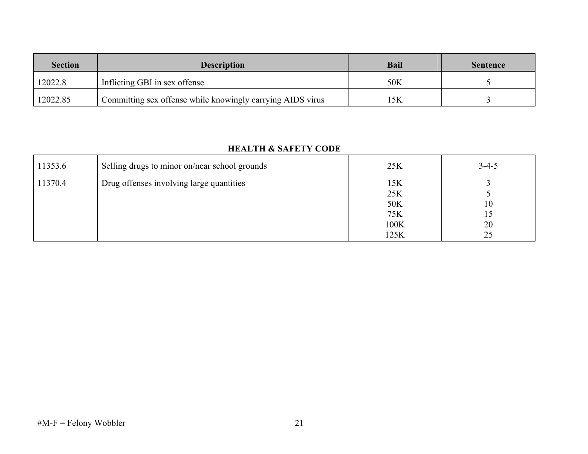| <b>Section</b> | <b>Description</b>                                         | <b>Bail</b> | <b>Sentence</b> |
|----------------|------------------------------------------------------------|-------------|-----------------|
| 12022.8        | Inflicting GBI in sex offense                              | 50K         |                 |
| 12022.85       | Committing sex offense while knowingly carrying AIDS virus | 5K          |                 |

#### **HEALTH & SAFETY CODE**

| 25K                              | $3 - 4 - 5$          |
|----------------------------------|----------------------|
| 15K<br>25K<br>50K<br>75K<br>100K | 10<br>15<br>20<br>25 |
|                                  | 125K                 |